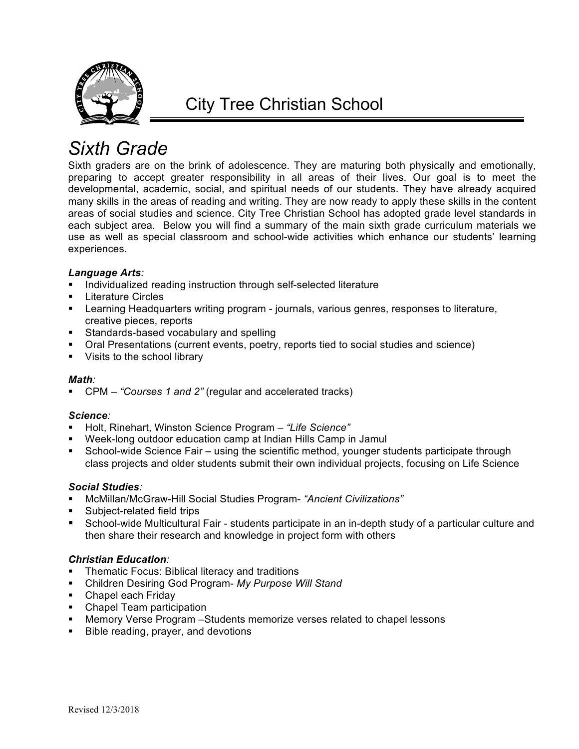

# *Sixth Grade*

Sixth graders are on the brink of adolescence. They are maturing both physically and emotionally, preparing to accept greater responsibility in all areas of their lives. Our goal is to meet the developmental, academic, social, and spiritual needs of our students. They have already acquired many skills in the areas of reading and writing. They are now ready to apply these skills in the content areas of social studies and science. City Tree Christian School has adopted grade level standards in each subject area. Below you will find a summary of the main sixth grade curriculum materials we use as well as special classroom and school-wide activities which enhance our students' learning experiences.

## *Language Arts:*

- **•** Individualized reading instruction through self-selected literature
- § Literature Circles
- § Learning Headquarters writing program journals, various genres, responses to literature, creative pieces, reports
- § Standards-based vocabulary and spelling
- § Oral Presentations (current events, poetry, reports tied to social studies and science)
- Visits to the school library

## *Math:*

■ CPM – "Courses 1 and 2" (regular and accelerated tracks)

## *Science:*

- Holt, Rinehart, Winston Science Program "Life Science"
- § Week-long outdoor education camp at Indian Hills Camp in Jamul
- § School-wide Science Fair using the scientific method, younger students participate through class projects and older students submit their own individual projects, focusing on Life Science

## *Social Studies:*

- § McMillan/McGraw-Hill Social Studies Program- *"Ancient Civilizations"*
- § Subject-related field trips
- School-wide Multicultural Fair students participate in an in-depth study of a particular culture and then share their research and knowledge in project form with others

## *Christian Education:*

- Thematic Focus: Biblical literacy and traditions
- § Children Desiring God Program- *My Purpose Will Stand*
- Chapel each Friday
- Chapel Team participation
- Memory Verse Program –Students memorize verses related to chapel lessons
- **■** Bible reading, prayer, and devotions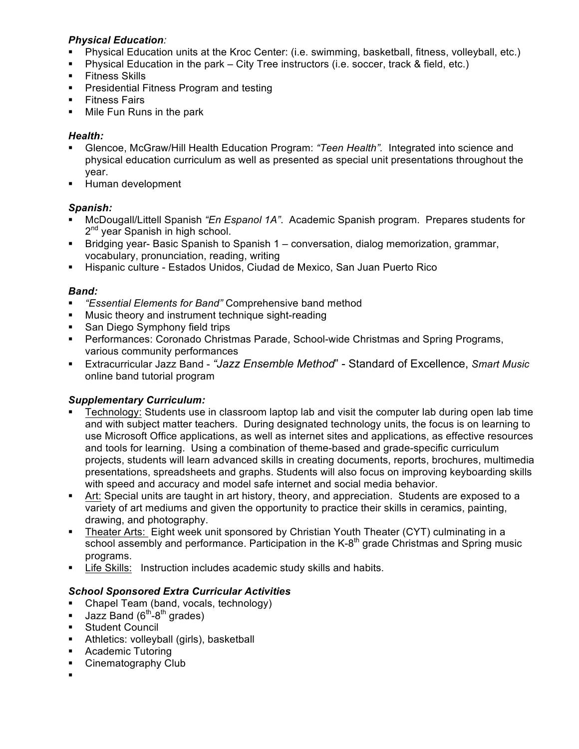## *Physical Education:*

- Physical Education units at the Kroc Center: (i.e. swimming, basketball, fitness, volleyball, etc.)
- § Physical Education in the park City Tree instructors (i.e. soccer, track & field, etc.)
- Fitness Skills
- § Presidential Fitness Program and testing
- § Fitness Fairs
- Mile Fun Runs in the park

# *Health:*

- § Glencoe, McGraw/Hill Health Education Program: *"Teen Health".* Integrated into science and physical education curriculum as well as presented as special unit presentations throughout the year.
- § Human development

# *Spanish:*

- § McDougall/Littell Spanish *"En Espanol 1A"*. Academic Spanish program. Prepares students for 2<sup>nd</sup> year Spanish in high school.
- § Bridging year- Basic Spanish to Spanish 1 conversation, dialog memorization, grammar, vocabulary, pronunciation, reading, writing
- § Hispanic culture Estados Unidos, Ciudad de Mexico, San Juan Puerto Rico

# *Band:*

- § *"Essential Elements for Band"* Comprehensive band method
- § Music theory and instrument technique sight-reading
- San Diego Symphony field trips
- § Performances: Coronado Christmas Parade, School-wide Christmas and Spring Programs, various community performances
- § Extracurricular Jazz Band *"Jazz Ensemble Method*" Standard of Excellence, *Smart Music* online band tutorial program

# *Supplementary Curriculum:*

- Technology: Students use in classroom laptop lab and visit the computer lab during open lab time and with subject matter teachers. During designated technology units, the focus is on learning to use Microsoft Office applications, as well as internet sites and applications, as effective resources and tools for learning. Using a combination of theme-based and grade-specific curriculum projects, students will learn advanced skills in creating documents, reports, brochures, multimedia presentations, spreadsheets and graphs. Students will also focus on improving keyboarding skills with speed and accuracy and model safe internet and social media behavior.
- Art: Special units are taught in art history, theory, and appreciation. Students are exposed to a variety of art mediums and given the opportunity to practice their skills in ceramics, painting, drawing, and photography.
- § Theater Arts: Eight week unit sponsored by Christian Youth Theater (CYT) culminating in a school assembly and performance. Participation in the K-8<sup>th</sup> grade Christmas and Spring music programs.
- § Life Skills:Instruction includes academic study skills and habits.

## *School Sponsored Extra Curricular Activities*

- § Chapel Team (band, vocals, technology)
- **Jazz Band (6<sup>th</sup>-8<sup>th</sup> grades)**
- Student Council
- Athletics: volleyball (girls), basketball
- § Academic Tutoring
- Cinematography Club
- §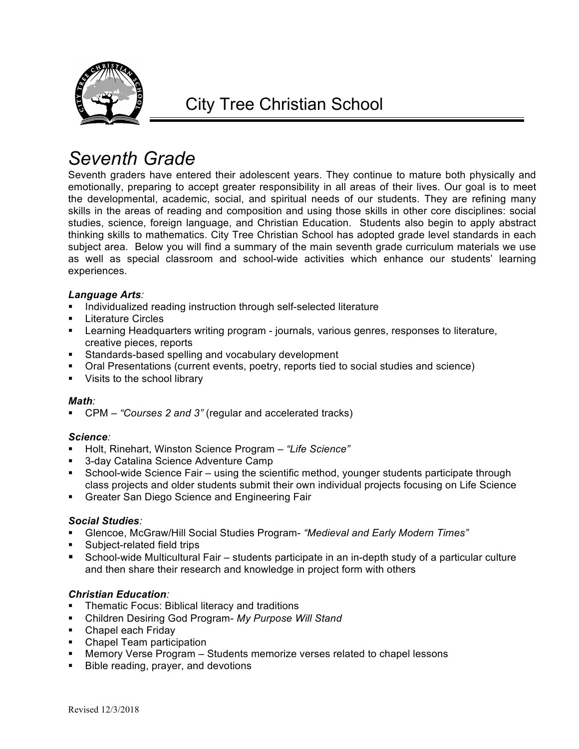

# *Seventh Grade*

Seventh graders have entered their adolescent years. They continue to mature both physically and emotionally, preparing to accept greater responsibility in all areas of their lives. Our goal is to meet the developmental, academic, social, and spiritual needs of our students. They are refining many skills in the areas of reading and composition and using those skills in other core disciplines: social studies, science, foreign language, and Christian Education. Students also begin to apply abstract thinking skills to mathematics. City Tree Christian School has adopted grade level standards in each subject area. Below you will find a summary of the main seventh grade curriculum materials we use as well as special classroom and school-wide activities which enhance our students' learning experiences.

## *Language Arts:*

- Individualized reading instruction through self-selected literature
- § Literature Circles
- § Learning Headquarters writing program journals, various genres, responses to literature, creative pieces, reports
- Standards-based spelling and vocabulary development
- § Oral Presentations (current events, poetry, reports tied to social studies and science)
- Visits to the school library

## *Math:*

■ CPM – "Courses 2 and 3" (regular and accelerated tracks)

## *Science:*

- § Holt, Rinehart, Winston Science Program *"Life Science"*
- § 3-day Catalina Science Adventure Camp
- § School-wide Science Fair using the scientific method, younger students participate through class projects and older students submit their own individual projects focusing on Life Science
- § Greater San Diego Science and Engineering Fair

#### *Social Studies:*

- § Glencoe, McGraw/Hill Social Studies Program- *"Medieval and Early Modern Times"*
- § Subject-related field trips
- § School-wide Multicultural Fair students participate in an in-depth study of a particular culture and then share their research and knowledge in project form with others

#### *Christian Education:*

- § Thematic Focus: Biblical literacy and traditions
- § Children Desiring God Program- *My Purpose Will Stand*
- Chapel each Friday
- Chapel Team participation
- § Memory Verse Program Students memorize verses related to chapel lessons
- Bible reading, prayer, and devotions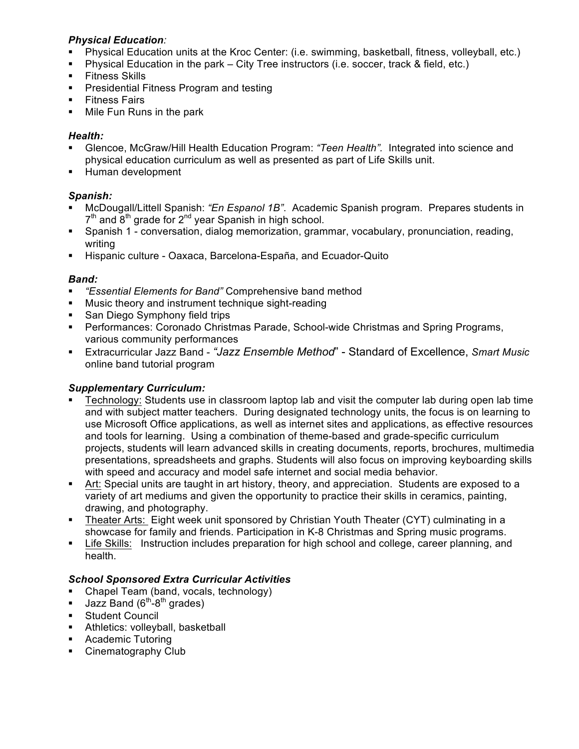## *Physical Education:*

- Physical Education units at the Kroc Center: (i.e. swimming, basketball, fitness, volleyball, etc.)
- § Physical Education in the park City Tree instructors (i.e. soccer, track & field, etc.)
- Fitness Skills
- § Presidential Fitness Program and testing
- § Fitness Fairs
- Mile Fun Runs in the park

# *Health:*

- § Glencoe, McGraw/Hill Health Education Program: *"Teen Health".* Integrated into science and physical education curriculum as well as presented as part of Life Skills unit.
- § Human development

# *Spanish:*

- § McDougall/Littell Spanish: *"En Espanol 1B"*. Academic Spanish program. Prepares students in  $7<sup>th</sup>$  and  $8<sup>th</sup>$  grade for  $2<sup>nd</sup>$  year Spanish in high school.
- § Spanish 1 conversation, dialog memorization, grammar, vocabulary, pronunciation, reading, writing
- **EXTES** Hispanic culture Oaxaca, Barcelona-España, and Ecuador-Quito

# *Band:*

- § *"Essential Elements for Band"* Comprehensive band method
- § Music theory and instrument technique sight-reading
- San Diego Symphony field trips
- § Performances: Coronado Christmas Parade, School-wide Christmas and Spring Programs, various community performances
- § Extracurricular Jazz Band *"Jazz Ensemble Method*" Standard of Excellence, *Smart Music* online band tutorial program

# *Supplementary Curriculum:*

- Technology: Students use in classroom laptop lab and visit the computer lab during open lab time and with subject matter teachers. During designated technology units, the focus is on learning to use Microsoft Office applications, as well as internet sites and applications, as effective resources and tools for learning. Using a combination of theme-based and grade-specific curriculum projects, students will learn advanced skills in creating documents, reports, brochures, multimedia presentations, spreadsheets and graphs. Students will also focus on improving keyboarding skills with speed and accuracy and model safe internet and social media behavior.
- Art: Special units are taught in art history, theory, and appreciation. Students are exposed to a variety of art mediums and given the opportunity to practice their skills in ceramics, painting, drawing, and photography.
- § Theater Arts: Eight week unit sponsored by Christian Youth Theater (CYT) culminating in a showcase for family and friends. Participation in K-8 Christmas and Spring music programs.
- Life Skills: Instruction includes preparation for high school and college, career planning, and health.

## *School Sponsored Extra Curricular Activities*

- § Chapel Team (band, vocals, technology)
- **Jazz Band (6<sup>th</sup>-8<sup>th</sup> grades)**
- Student Council
- **•** Athletics: volleyball, basketball
- § Academic Tutoring
- § Cinematography Club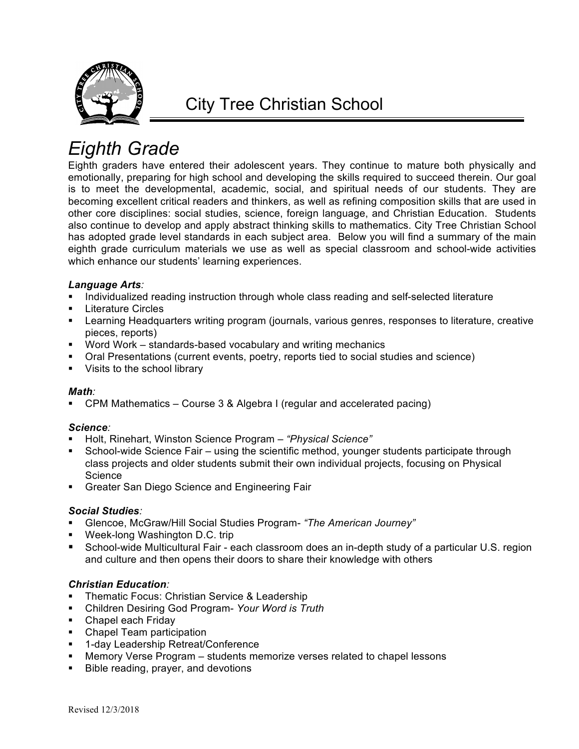

# *Eighth Grade*

Eighth graders have entered their adolescent years. They continue to mature both physically and emotionally, preparing for high school and developing the skills required to succeed therein. Our goal is to meet the developmental, academic, social, and spiritual needs of our students. They are becoming excellent critical readers and thinkers, as well as refining composition skills that are used in other core disciplines: social studies, science, foreign language, and Christian Education. Students also continue to develop and apply abstract thinking skills to mathematics. City Tree Christian School has adopted grade level standards in each subject area. Below you will find a summary of the main eighth grade curriculum materials we use as well as special classroom and school-wide activities which enhance our students' learning experiences.

#### *Language Arts:*

- Individualized reading instruction through whole class reading and self-selected literature
- § Literature Circles
- § Learning Headquarters writing program (journals, various genres, responses to literature, creative pieces, reports)
- Word Work standards-based vocabulary and writing mechanics
- § Oral Presentations (current events, poetry, reports tied to social studies and science)
- Visits to the school library

#### *Math:*

§ CPM Mathematics – Course 3 & Algebra I (regular and accelerated pacing)

## *Science:*

- § Holt, Rinehart, Winston Science Program *"Physical Science"*
- § School-wide Science Fair using the scientific method, younger students participate through class projects and older students submit their own individual projects, focusing on Physical **Science**
- § Greater San Diego Science and Engineering Fair

## *Social Studies:*

- § Glencoe, McGraw/Hill Social Studies Program- *"The American Journey"*
- Week-long Washington D.C. trip
- § School-wide Multicultural Fair each classroom does an in-depth study of a particular U.S. region and culture and then opens their doors to share their knowledge with others

## *Christian Education:*

- Thematic Focus: Christian Service & Leadership
- § Children Desiring God Program- *Your Word is Truth*
- Chapel each Friday
- Chapel Team participation
- 1-day Leadership Retreat/Conference
- Memory Verse Program students memorize verses related to chapel lessons
- Bible reading, prayer, and devotions